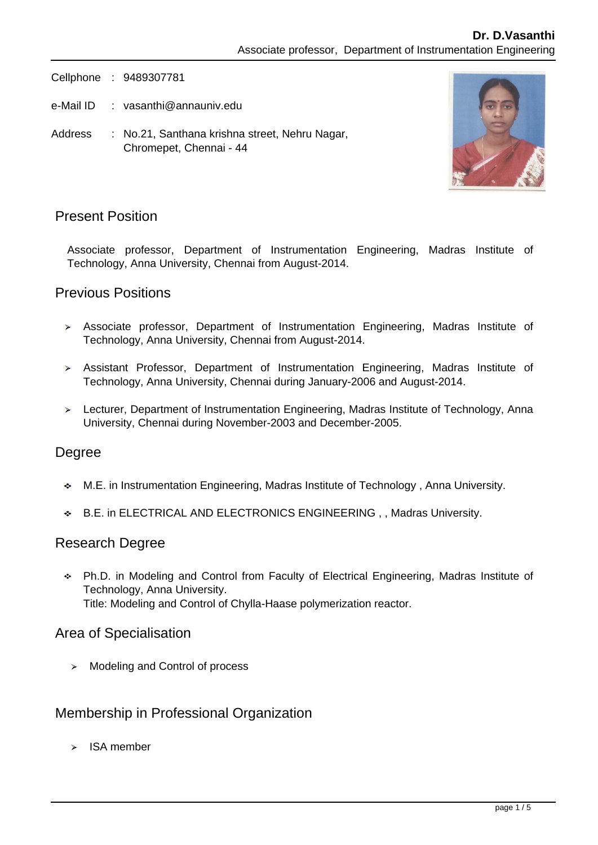Cellphone : 9489307781

- e-Mail ID : vasanthi@annauniv.edu
- Address : No.21, Santhana krishna street, Nehru Nagar, Chromepet, Chennai - 44



# Present Position

Associate professor, Department of Instrumentation Engineering, Madras Institute of Technology, Anna University, Chennai from August-2014.

## Previous Positions

- Associate professor, Department of Instrumentation Engineering, Madras Institute of Technology, Anna University, Chennai from August-2014.
- Assistant Professor, Department of Instrumentation Engineering, Madras Institute of Technology, Anna University, Chennai during January-2006 and August-2014.
- Lecturer, Department of Instrumentation Engineering, Madras Institute of Technology, Anna University, Chennai during November-2003 and December-2005.

## Degree

- M.E. in Instrumentation Engineering, Madras Institute of Technology , Anna University.
- B.E. in ELECTRICAL AND ELECTRONICS ENGINEERING , , Madras University.

### Research Degree

Ph.D. in Modeling and Control from Faculty of Electrical Engineering, Madras Institute of Technology, Anna University. Title: Modeling and Control of Chylla-Haase polymerization reactor.

### Area of Specialisation

 $\triangleright$  Modeling and Control of process

## Membership in Professional Organization

ISA member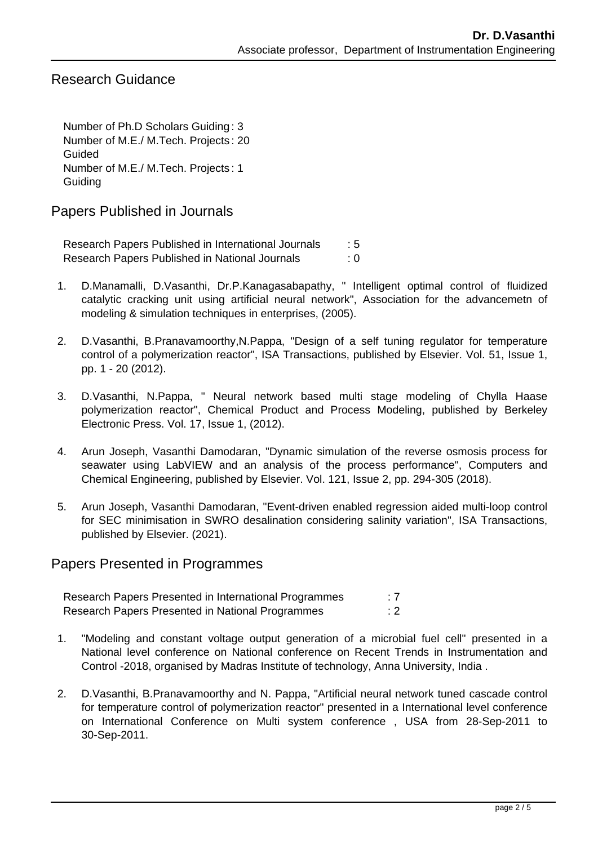# Research Guidance

Number of Ph.D Scholars Guiding : 3 Number of M.E./ M.Tech. Projects : 20 Guided Number of M.E./ M.Tech. Projects : 1 **Guiding** 

Papers Published in Journals

Research Papers Published in International Journals : 5 Research Papers Published in National Journals : 0

- 1. D.Manamalli, D.Vasanthi, Dr.P.Kanagasabapathy, " Intelligent optimal control of fluidized catalytic cracking unit using artificial neural network", Association for the advancemetn of modeling & simulation techniques in enterprises, (2005).
- 2. D.Vasanthi, B.Pranavamoorthy,N.Pappa, "Design of a self tuning regulator for temperature control of a polymerization reactor", ISA Transactions, published by Elsevier. Vol. 51, Issue 1, pp. 1 - 20 (2012).
- 3. D.Vasanthi, N.Pappa, " Neural network based multi stage modeling of Chylla Haase polymerization reactor", Chemical Product and Process Modeling, published by Berkeley Electronic Press. Vol. 17, Issue 1, (2012).
- 4. Arun Joseph, Vasanthi Damodaran, "Dynamic simulation of the reverse osmosis process for seawater using LabVIEW and an analysis of the process performance", Computers and Chemical Engineering, published by Elsevier. Vol. 121, Issue 2, pp. 294-305 (2018).
- 5. Arun Joseph, Vasanthi Damodaran, "Event-driven enabled regression aided multi-loop control for SEC minimisation in SWRO desalination considering salinity variation", ISA Transactions, published by Elsevier. (2021).

### Papers Presented in Programmes

Research Papers Presented in International Programmes : 7 Research Papers Presented in National Programmes : 2

- 1. "Modeling and constant voltage output generation of a microbial fuel cell" presented in a National level conference on National conference on Recent Trends in Instrumentation and Control -2018, organised by Madras Institute of technology, Anna University, India .
- 2. D.Vasanthi, B.Pranavamoorthy and N. Pappa, "Artificial neural network tuned cascade control for temperature control of polymerization reactor" presented in a International level conference on International Conference on Multi system conference , USA from 28-Sep-2011 to 30-Sep-2011.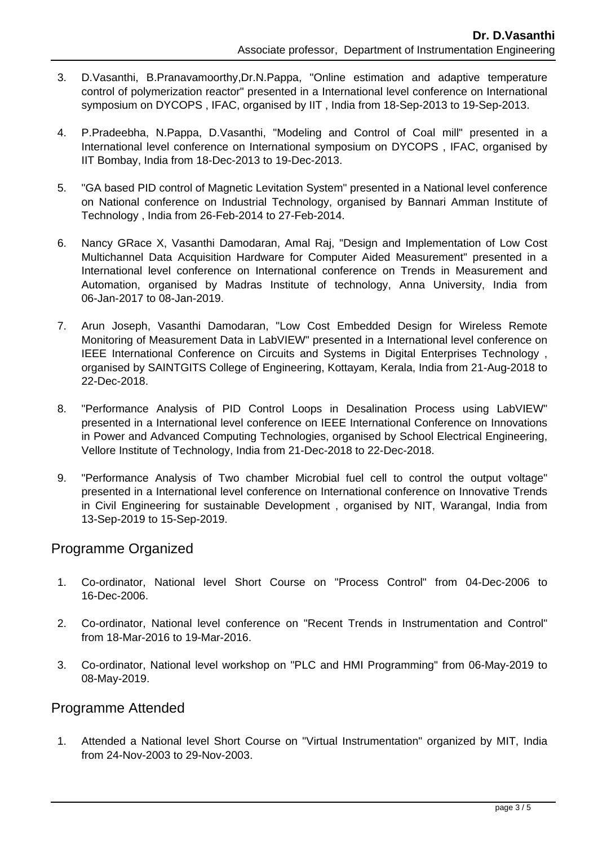- 3. D.Vasanthi, B.Pranavamoorthy,Dr.N.Pappa, "Online estimation and adaptive temperature control of polymerization reactor" presented in a International level conference on International symposium on DYCOPS , IFAC, organised by IIT , India from 18-Sep-2013 to 19-Sep-2013.
- 4. P.Pradeebha, N.Pappa, D.Vasanthi, "Modeling and Control of Coal mill" presented in a International level conference on International symposium on DYCOPS , IFAC, organised by IIT Bombay, India from 18-Dec-2013 to 19-Dec-2013.
- 5. "GA based PID control of Magnetic Levitation System" presented in a National level conference on National conference on Industrial Technology, organised by Bannari Amman Institute of Technology , India from 26-Feb-2014 to 27-Feb-2014.
- 6. Nancy GRace X, Vasanthi Damodaran, Amal Raj, "Design and Implementation of Low Cost Multichannel Data Acquisition Hardware for Computer Aided Measurement" presented in a International level conference on International conference on Trends in Measurement and Automation, organised by Madras Institute of technology, Anna University, India from 06-Jan-2017 to 08-Jan-2019.
- 7. Arun Joseph, Vasanthi Damodaran, "Low Cost Embedded Design for Wireless Remote Monitoring of Measurement Data in LabVIEW" presented in a International level conference on IEEE International Conference on Circuits and Systems in Digital Enterprises Technology , organised by SAINTGITS College of Engineering, Kottayam, Kerala, India from 21-Aug-2018 to 22-Dec-2018.
- 8. "Performance Analysis of PID Control Loops in Desalination Process using LabVIEW" presented in a International level conference on IEEE International Conference on Innovations in Power and Advanced Computing Technologies, organised by School Electrical Engineering, Vellore Institute of Technology, India from 21-Dec-2018 to 22-Dec-2018.
- 9. "Performance Analysis of Two chamber Microbial fuel cell to control the output voltage" presented in a International level conference on International conference on Innovative Trends in Civil Engineering for sustainable Development , organised by NIT, Warangal, India from 13-Sep-2019 to 15-Sep-2019.

## Programme Organized

- 1. Co-ordinator, National level Short Course on "Process Control" from 04-Dec-2006 to 16-Dec-2006.
- 2. Co-ordinator, National level conference on "Recent Trends in Instrumentation and Control" from 18-Mar-2016 to 19-Mar-2016.
- 3. Co-ordinator, National level workshop on "PLC and HMI Programming" from 06-May-2019 to 08-May-2019.

## Programme Attended

 1. Attended a National level Short Course on "Virtual Instrumentation" organized by MIT, India from 24-Nov-2003 to 29-Nov-2003.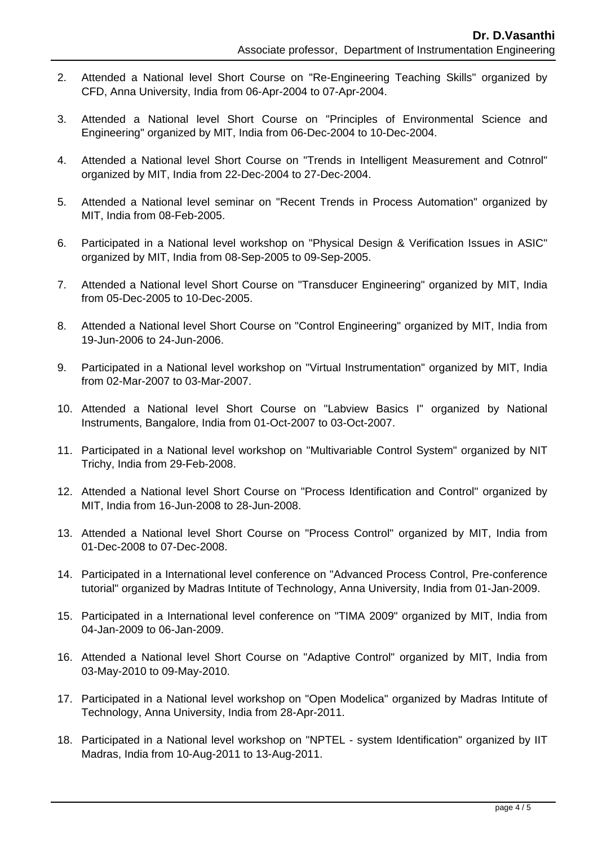- 2. Attended a National level Short Course on "Re-Engineering Teaching Skills" organized by CFD, Anna University, India from 06-Apr-2004 to 07-Apr-2004.
- 3. Attended a National level Short Course on "Principles of Environmental Science and Engineering" organized by MIT, India from 06-Dec-2004 to 10-Dec-2004.
- 4. Attended a National level Short Course on "Trends in Intelligent Measurement and Cotnrol" organized by MIT, India from 22-Dec-2004 to 27-Dec-2004.
- 5. Attended a National level seminar on "Recent Trends in Process Automation" organized by MIT, India from 08-Feb-2005.
- 6. Participated in a National level workshop on "Physical Design & Verification Issues in ASIC" organized by MIT, India from 08-Sep-2005 to 09-Sep-2005.
- 7. Attended a National level Short Course on "Transducer Engineering" organized by MIT, India from 05-Dec-2005 to 10-Dec-2005.
- 8. Attended a National level Short Course on "Control Engineering" organized by MIT, India from 19-Jun-2006 to 24-Jun-2006.
- 9. Participated in a National level workshop on "Virtual Instrumentation" organized by MIT, India from 02-Mar-2007 to 03-Mar-2007.
- 10. Attended a National level Short Course on "Labview Basics I" organized by National Instruments, Bangalore, India from 01-Oct-2007 to 03-Oct-2007.
- 11. Participated in a National level workshop on "Multivariable Control System" organized by NIT Trichy, India from 29-Feb-2008.
- 12. Attended a National level Short Course on "Process Identification and Control" organized by MIT, India from 16-Jun-2008 to 28-Jun-2008.
- 13. Attended a National level Short Course on "Process Control" organized by MIT, India from 01-Dec-2008 to 07-Dec-2008.
- 14. Participated in a International level conference on "Advanced Process Control, Pre-conference tutorial" organized by Madras Intitute of Technology, Anna University, India from 01-Jan-2009.
- 15. Participated in a International level conference on "TIMA 2009" organized by MIT, India from 04-Jan-2009 to 06-Jan-2009.
- 16. Attended a National level Short Course on "Adaptive Control" organized by MIT, India from 03-May-2010 to 09-May-2010.
- 17. Participated in a National level workshop on "Open Modelica" organized by Madras Intitute of Technology, Anna University, India from 28-Apr-2011.
- 18. Participated in a National level workshop on "NPTEL system Identification" organized by IIT Madras, India from 10-Aug-2011 to 13-Aug-2011.